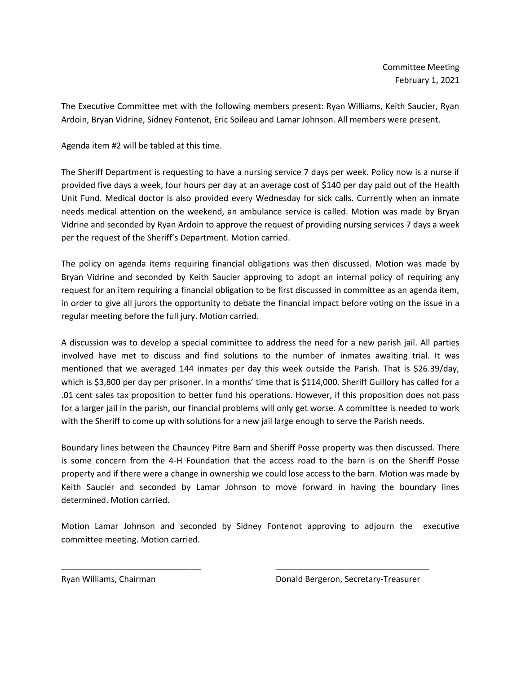The Executive Committee met with the following members present: Ryan Williams, Keith Saucier, Ryan Ardoin, Bryan Vidrine, Sidney Fontenot, Eric Soileau and Lamar Johnson. All members were present.

Agenda item #2 will be tabled at this time.

The Sheriff Department is requesting to have a nursing service 7 days per week. Policy now is a nurse if provided five days a week, four hours per day at an average cost of \$140 per day paid out of the Health Unit Fund. Medical doctor is also provided every Wednesday for sick calls. Currently when an inmate needs medical attention on the weekend, an ambulance service is called. Motion was made by Bryan Vidrine and seconded by Ryan Ardoin to approve the request of providing nursing services 7 days a week per the request of the Sheriff's Department. Motion carried.

The policy on agenda items requiring financial obligations was then discussed. Motion was made by Bryan Vidrine and seconded by Keith Saucier approving to adopt an internal policy of requiring any request for an item requiring a financial obligation to be first discussed in committee as an agenda item, in order to give all jurors the opportunity to debate the financial impact before voting on the issue in a regular meeting before the full jury. Motion carried.

A discussion was to develop a special committee to address the need for a new parish jail. All parties involved have met to discuss and find solutions to the number of inmates awaiting trial. It was mentioned that we averaged 144 inmates per day this week outside the Parish. That is \$26.39/day, which is \$3,800 per day per prisoner. In a months' time that is \$114,000. Sheriff Guillory has called for a .01 cent sales tax proposition to better fund his operations. However, if this proposition does not pass for a larger jail in the parish, our financial problems will only get worse. A committee is needed to work with the Sheriff to come up with solutions for a new jail large enough to serve the Parish needs.

Boundary lines between the Chauncey Pitre Barn and Sheriff Posse property was then discussed. There is some concern from the 4-H Foundation that the access road to the barn is on the Sheriff Posse property and if there were a change in ownership we could lose access to the barn. Motion was made by Keith Saucier and seconded by Lamar Johnson to move forward in having the boundary lines determined. Motion carried.

Motion Lamar Johnson and seconded by Sidney Fontenot approving to adjourn the executive committee meeting. Motion carried.

\_\_\_\_\_\_\_\_\_\_\_\_\_\_\_\_\_\_\_\_\_\_\_\_\_\_\_\_\_\_ \_\_\_\_\_\_\_\_\_\_\_\_\_\_\_\_\_\_\_\_\_\_\_\_\_\_\_\_\_\_\_\_\_

Ryan Williams, Chairman Donald Bergeron, Secretary-Treasurer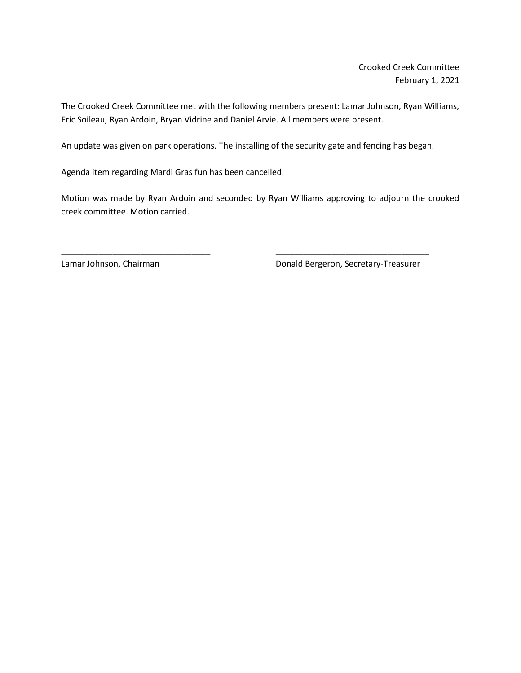Crooked Creek Committee February 1, 2021

The Crooked Creek Committee met with the following members present: Lamar Johnson, Ryan Williams, Eric Soileau, Ryan Ardoin, Bryan Vidrine and Daniel Arvie. All members were present.

An update was given on park operations. The installing of the security gate and fencing has began.

\_\_\_\_\_\_\_\_\_\_\_\_\_\_\_\_\_\_\_\_\_\_\_\_\_\_\_\_\_\_\_\_ \_\_\_\_\_\_\_\_\_\_\_\_\_\_\_\_\_\_\_\_\_\_\_\_\_\_\_\_\_\_\_\_\_

Agenda item regarding Mardi Gras fun has been cancelled.

Motion was made by Ryan Ardoin and seconded by Ryan Williams approving to adjourn the crooked creek committee. Motion carried.

Lamar Johnson, Chairman **Donald Bergeron**, Secretary-Treasurer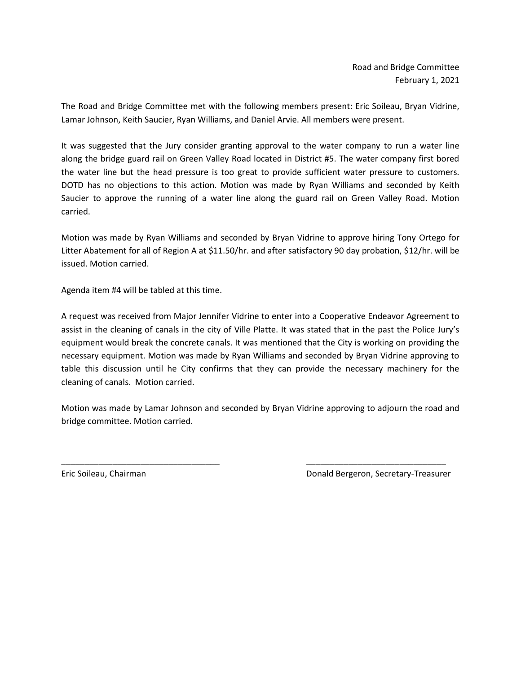The Road and Bridge Committee met with the following members present: Eric Soileau, Bryan Vidrine, Lamar Johnson, Keith Saucier, Ryan Williams, and Daniel Arvie. All members were present.

It was suggested that the Jury consider granting approval to the water company to run a water line along the bridge guard rail on Green Valley Road located in District #5. The water company first bored the water line but the head pressure is too great to provide sufficient water pressure to customers. DOTD has no objections to this action. Motion was made by Ryan Williams and seconded by Keith Saucier to approve the running of a water line along the guard rail on Green Valley Road. Motion carried.

Motion was made by Ryan Williams and seconded by Bryan Vidrine to approve hiring Tony Ortego for Litter Abatement for all of Region A at \$11.50/hr. and after satisfactory 90 day probation, \$12/hr. will be issued. Motion carried.

Agenda item #4 will be tabled at this time.

A request was received from Major Jennifer Vidrine to enter into a Cooperative Endeavor Agreement to assist in the cleaning of canals in the city of Ville Platte. It was stated that in the past the Police Jury's equipment would break the concrete canals. It was mentioned that the City is working on providing the necessary equipment. Motion was made by Ryan Williams and seconded by Bryan Vidrine approving to table this discussion until he City confirms that they can provide the necessary machinery for the cleaning of canals. Motion carried.

Motion was made by Lamar Johnson and seconded by Bryan Vidrine approving to adjourn the road and bridge committee. Motion carried.

\_\_\_\_\_\_\_\_\_\_\_\_\_\_\_\_\_\_\_\_\_\_\_\_\_\_\_\_\_\_\_\_\_\_ \_\_\_\_\_\_\_\_\_\_\_\_\_\_\_\_\_\_\_\_\_\_\_\_\_\_\_\_\_\_

Eric Soileau, Chairman Donald Bergeron, Secretary-Treasurer